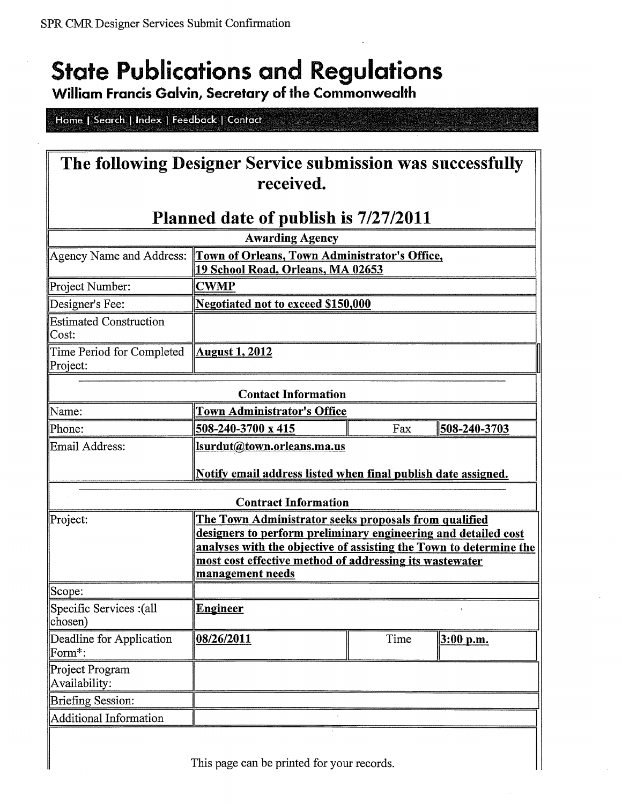# **State Publications and Regulations**<br>William Francis Galvin, Secretary of the Commonwealth

Home | Search | Index | Feedback | Contact

 $\overline{\phantom{a}}$ 

| The following Designer Service submission was successfully                                                                                        |                                                                                                             |      |              |  |
|---------------------------------------------------------------------------------------------------------------------------------------------------|-------------------------------------------------------------------------------------------------------------|------|--------------|--|
| received.                                                                                                                                         |                                                                                                             |      |              |  |
|                                                                                                                                                   |                                                                                                             |      |              |  |
| Planned date of publish is 7/27/2011                                                                                                              |                                                                                                             |      |              |  |
| <b>Awarding Agency</b>                                                                                                                            |                                                                                                             |      |              |  |
|                                                                                                                                                   | Agency Name and Address: Town of Orleans, Town Administrator's Office,<br>19 School Road, Orleans, MA 02653 |      |              |  |
| Project Number:                                                                                                                                   | <b>CWMP</b>                                                                                                 |      |              |  |
| Designer's Fee:                                                                                                                                   | <b>Negotiated not to exceed \$150,000</b>                                                                   |      |              |  |
| <b>Estimated Construction</b><br>Cost:                                                                                                            |                                                                                                             |      |              |  |
| Time Period for Completed<br>Project:                                                                                                             | <b>August 1, 2012</b>                                                                                       |      |              |  |
| <b>Contact Information</b>                                                                                                                        |                                                                                                             |      |              |  |
| Name:                                                                                                                                             | <b>Town Administrator's Office</b>                                                                          |      |              |  |
| Phone:                                                                                                                                            | 508-240-3700 x 415                                                                                          | Fax  | 508-240-3703 |  |
| Email Address:                                                                                                                                    | Isurdut@town.orleans.ma.us                                                                                  |      |              |  |
|                                                                                                                                                   | Notify email address listed when final publish date assigned.                                               |      |              |  |
| <b>Contract Information</b>                                                                                                                       |                                                                                                             |      |              |  |
| Project:                                                                                                                                          | The Town Administrator seeks proposals from qualified                                                       |      |              |  |
|                                                                                                                                                   | designers to perform preliminary engineering and detailed cost                                              |      |              |  |
| analyses with the objective of assisting the Town to determine the<br>most cost effective method of addressing its wastewater<br>management needs |                                                                                                             |      |              |  |
|                                                                                                                                                   |                                                                                                             |      |              |  |
| Scope:                                                                                                                                            |                                                                                                             |      |              |  |
| Specific Services : (all<br>chosen)                                                                                                               | <b>Engineer</b>                                                                                             |      |              |  |
| Deadline for Application<br>Form*:                                                                                                                | 08/26/2011                                                                                                  | Time | $3:00$ p.m.  |  |
| Project Program<br>Availability:                                                                                                                  |                                                                                                             |      |              |  |
| <b>Briefing Session:</b>                                                                                                                          |                                                                                                             |      |              |  |
| <b>Additional Information</b>                                                                                                                     |                                                                                                             |      |              |  |
|                                                                                                                                                   |                                                                                                             |      |              |  |

This page can be printed for your records.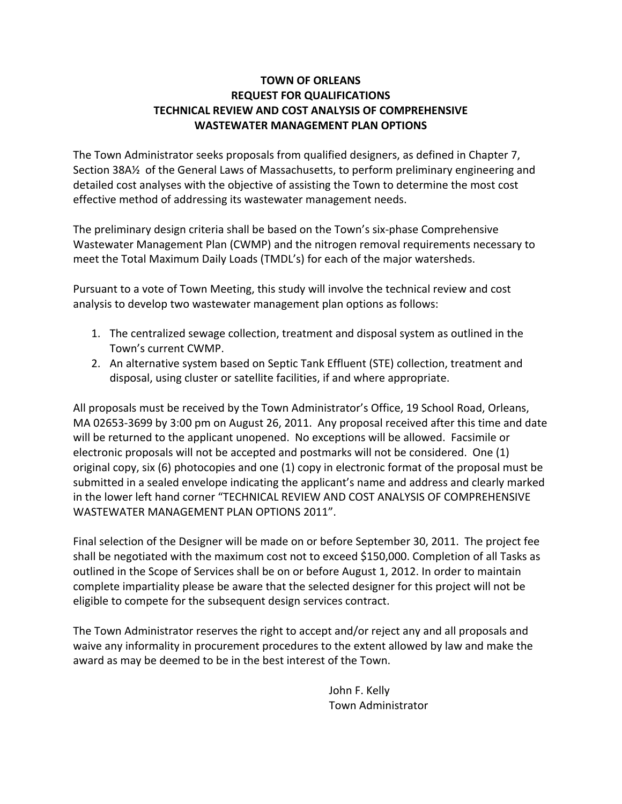### **TOWN OF ORLEANS REQUEST FOR QUALIFICATIONS TECHNICAL REVIEW AND COST ANALYSIS OF COMPREHENSIVE WASTEWATER MANAGEMENT PLAN OPTIONS**

The Town Administrator seeks proposals from qualified designers, as defined in Chapter 7, Section 38A½ of the General Laws of Massachusetts, to perform preliminary engineering and detailed cost analyses with the objective of assisting the Town to determine the most cost effective method of addressing its wastewater management needs.

The preliminary design criteria shall be based on the Town's six‐phase Comprehensive Wastewater Management Plan (CWMP) and the nitrogen removal requirements necessary to meet the Total Maximum Daily Loads (TMDL's) for each of the major watersheds.

Pursuant to a vote of Town Meeting, this study will involve the technical review and cost analysis to develop two wastewater management plan options as follows:

- 1. The centralized sewage collection, treatment and disposal system as outlined in the Town's current CWMP.
- 2. An alternative system based on Septic Tank Effluent (STE) collection, treatment and disposal, using cluster or satellite facilities, if and where appropriate.

All proposals must be received by the Town Administrator's Office, 19 School Road, Orleans, MA 02653‐3699 by 3:00 pm on August 26, 2011. Any proposal received after this time and date will be returned to the applicant unopened. No exceptions will be allowed. Facsimile or electronic proposals will not be accepted and postmarks will not be considered. One (1) original copy, six (6) photocopies and one (1) copy in electronic format of the proposal must be submitted in a sealed envelope indicating the applicant's name and address and clearly marked in the lower left hand corner "TECHNICAL REVIEW AND COST ANALYSIS OF COMPREHENSIVE WASTEWATER MANAGEMENT PLAN OPTIONS 2011".

Final selection of the Designer will be made on or before September 30, 2011. The project fee shall be negotiated with the maximum cost not to exceed \$150,000. Completion of all Tasks as outlined in the Scope of Services shall be on or before August 1, 2012. In order to maintain complete impartiality please be aware that the selected designer for this project will not be eligible to compete for the subsequent design services contract.

The Town Administrator reserves the right to accept and/or reject any and all proposals and waive any informality in procurement procedures to the extent allowed by law and make the award as may be deemed to be in the best interest of the Town.

> John F. Kelly Town Administrator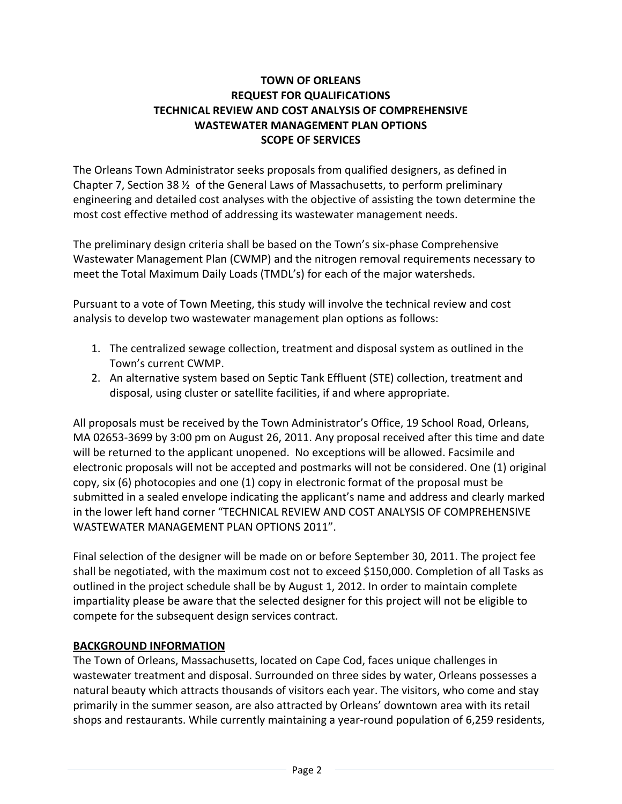## **TOWN OF ORLEANS REQUEST FOR QUALIFICATIONS TECHNICAL REVIEW AND COST ANALYSIS OF COMPREHENSIVE WASTEWATER MANAGEMENT PLAN OPTIONS SCOPE OF SERVICES**

The Orleans Town Administrator seeks proposals from qualified designers, as defined in Chapter 7, Section 38  $\frac{1}{2}$  of the General Laws of Massachusetts, to perform preliminary engineering and detailed cost analyses with the objective of assisting the town determine the most cost effective method of addressing its wastewater management needs.

The preliminary design criteria shall be based on the Town's six‐phase Comprehensive Wastewater Management Plan (CWMP) and the nitrogen removal requirements necessary to meet the Total Maximum Daily Loads (TMDL's) for each of the major watersheds.

Pursuant to a vote of Town Meeting, this study will involve the technical review and cost analysis to develop two wastewater management plan options as follows:

- 1. The centralized sewage collection, treatment and disposal system as outlined in the Town's current CWMP.
- 2. An alternative system based on Septic Tank Effluent (STE) collection, treatment and disposal, using cluster or satellite facilities, if and where appropriate.

All proposals must be received by the Town Administrator's Office, 19 School Road, Orleans, MA 02653‐3699 by 3:00 pm on August 26, 2011. Any proposal received after this time and date will be returned to the applicant unopened. No exceptions will be allowed. Facsimile and electronic proposals will not be accepted and postmarks will not be considered. One (1) original copy, six (6) photocopies and one (1) copy in electronic format of the proposal must be submitted in a sealed envelope indicating the applicant's name and address and clearly marked in the lower left hand corner "TECHNICAL REVIEW AND COST ANALYSIS OF COMPREHENSIVE WASTEWATER MANAGEMENT PLAN OPTIONS 2011".

Final selection of the designer will be made on or before September 30, 2011. The project fee shall be negotiated, with the maximum cost not to exceed \$150,000. Completion of all Tasks as outlined in the project schedule shall be by August 1, 2012. In order to maintain complete impartiality please be aware that the selected designer for this project will not be eligible to compete for the subsequent design services contract.

# **BACKGROUND INFORMATION**

The Town of Orleans, Massachusetts, located on Cape Cod, faces unique challenges in wastewater treatment and disposal. Surrounded on three sides by water, Orleans possesses a natural beauty which attracts thousands of visitors each year. The visitors, who come and stay primarily in the summer season, are also attracted by Orleans' downtown area with its retail shops and restaurants. While currently maintaining a year-round population of 6,259 residents,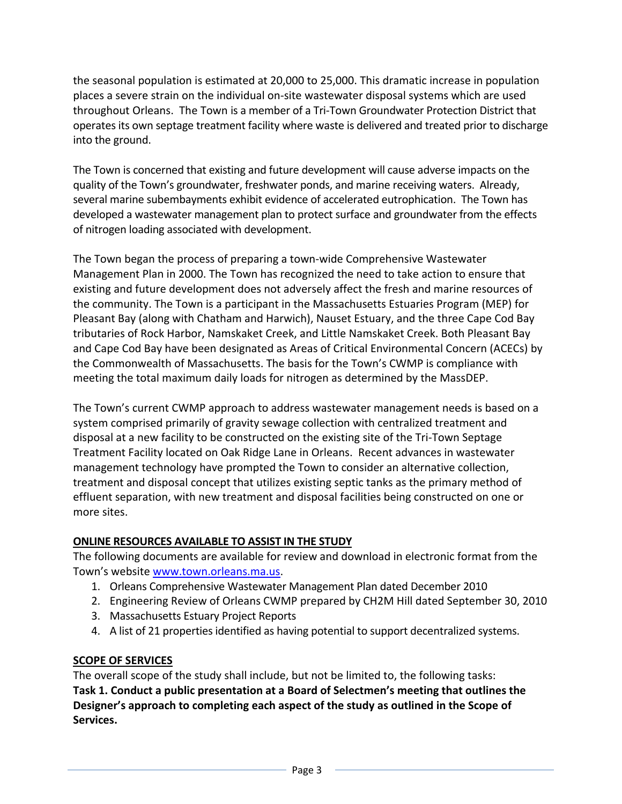the seasonal population is estimated at 20,000 to 25,000. This dramatic increase in population places a severe strain on the individual on‐site wastewater disposal systems which are used throughout Orleans. The Town is a member of a Tri‐Town Groundwater Protection District that operates its own septage treatment facility where waste is delivered and treated prior to discharge into the ground.

The Town is concerned that existing and future development will cause adverse impacts on the quality of the Town's groundwater, freshwater ponds, and marine receiving waters. Already, several marine subembayments exhibit evidence of accelerated eutrophication. The Town has developed a wastewater management plan to protect surface and groundwater from the effects of nitrogen loading associated with development.

The Town began the process of preparing a town‐wide Comprehensive Wastewater Management Plan in 2000. The Town has recognized the need to take action to ensure that existing and future development does not adversely affect the fresh and marine resources of the community. The Town is a participant in the Massachusetts Estuaries Program (MEP) for Pleasant Bay (along with Chatham and Harwich), Nauset Estuary, and the three Cape Cod Bay tributaries of Rock Harbor, Namskaket Creek, and Little Namskaket Creek. Both Pleasant Bay and Cape Cod Bay have been designated as Areas of Critical Environmental Concern (ACECs) by the Commonwealth of Massachusetts. The basis for the Town's CWMP is compliance with meeting the total maximum daily loads for nitrogen as determined by the MassDEP.

The Town's current CWMP approach to address wastewater management needs is based on a system comprised primarily of gravity sewage collection with centralized treatment and disposal at a new facility to be constructed on the existing site of the Tri‐Town Septage Treatment Facility located on Oak Ridge Lane in Orleans. Recent advances in wastewater management technology have prompted the Town to consider an alternative collection, treatment and disposal concept that utilizes existing septic tanks as the primary method of effluent separation, with new treatment and disposal facilities being constructed on one or more sites.

### **ONLINE RESOURCES AVAILABLE TO ASSIST IN THE STUDY**

The following documents are available for review and download in electronic format from the Town's website www.town.orleans.ma.us.

- 1. Orleans Comprehensive Wastewater Management Plan dated December 2010
- 2. Engineering Review of Orleans CWMP prepared by CH2M Hill dated September 30, 2010
- 3. Massachusetts Estuary Project Reports
- 4. A list of 21 properties identified as having potential to support decentralized systems.

# **SCOPE OF SERVICES**

The overall scope of the study shall include, but not be limited to, the following tasks: **Task 1. Conduct a public presentation at a Board of Selectmen's meeting that outlines the Designer's approach to completing each aspect of the study as outlined in the Scope of Services.**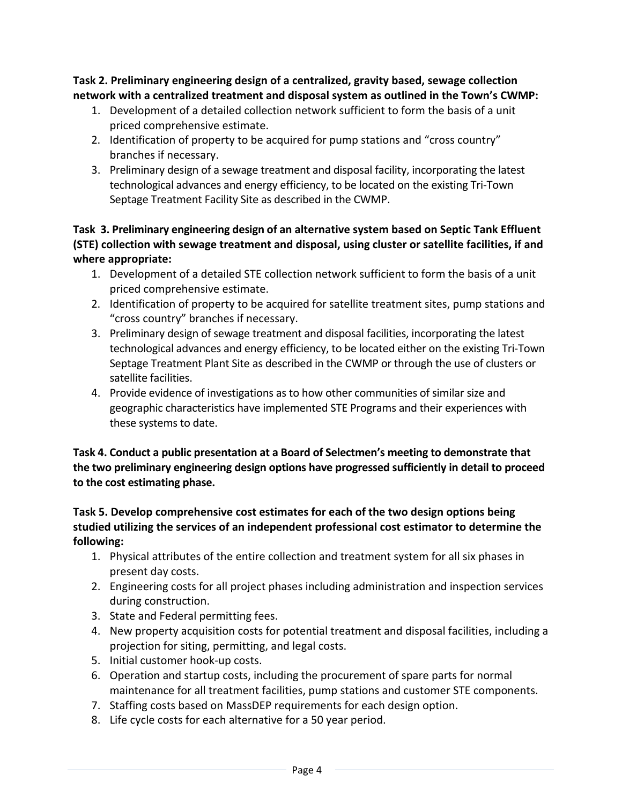**Task 2. Preliminary engineering design of a centralized, gravity based, sewage collection network with a centralized treatment and disposal system as outlined in the Town's CWMP:**

- 1. Development of a detailed collection network sufficient to form the basis of a unit priced comprehensive estimate.
- 2. Identification of property to be acquired for pump stations and "cross country" branches if necessary.
- 3. Preliminary design of a sewage treatment and disposal facility, incorporating the latest technological advances and energy efficiency, to be located on the existing Tri‐Town Septage Treatment Facility Site as described in the CWMP.

**Task 3. Preliminary engineering design of an alternative system based on Septic Tank Effluent (STE) collection with sewage treatment and disposal, using cluster or satellite facilities, if and where appropriate:**

- 1. Development of a detailed STE collection network sufficient to form the basis of a unit priced comprehensive estimate.
- 2. Identification of property to be acquired for satellite treatment sites, pump stations and "cross country" branches if necessary.
- 3. Preliminary design of sewage treatment and disposal facilities, incorporating the latest technological advances and energy efficiency, to be located either on the existing Tri‐Town Septage Treatment Plant Site as described in the CWMP or through the use of clusters or satellite facilities.
- 4. Provide evidence of investigations as to how other communities of similar size and geographic characteristics have implemented STE Programs and their experiences with these systems to date.

**Task 4. Conduct a public presentation at a Board of Selectmen's meeting to demonstrate that the two preliminary engineering design options have progressed sufficiently in detail to proceed to the cost estimating phase.**

## **Task 5. Develop comprehensive cost estimates for each of the two design options being studied utilizing the services of an independent professional cost estimator to determine the following:**

- 1. Physical attributes of the entire collection and treatment system for all six phases in present day costs.
- 2. Engineering costs for all project phases including administration and inspection services during construction.
- 3. State and Federal permitting fees.
- 4. New property acquisition costs for potential treatment and disposal facilities, including a projection for siting, permitting, and legal costs.
- 5. Initial customer hook‐up costs.
- 6. Operation and startup costs, including the procurement of spare parts for normal maintenance for all treatment facilities, pump stations and customer STE components.
- 7. Staffing costs based on MassDEP requirements for each design option.
- 8. Life cycle costs for each alternative for a 50 year period.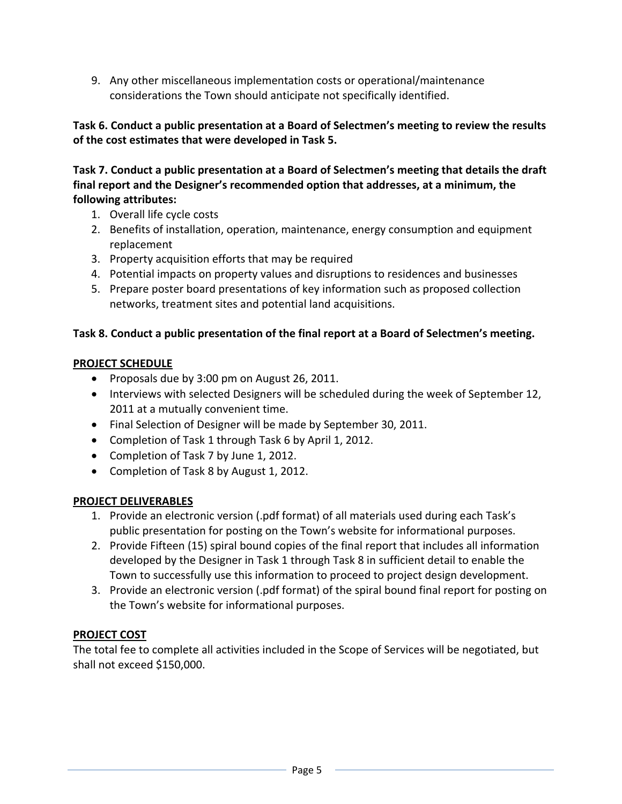9. Any other miscellaneous implementation costs or operational/maintenance considerations the Town should anticipate not specifically identified.

## **Task 6. Conduct a public presentation at a Board of Selectmen's meeting to review the results of the cost estimates that were developed in Task 5.**

## **Task 7. Conduct a public presentation at a Board of Selectmen's meeting that details the draft final report and the Designer's recommended option that addresses, at a minimum, the following attributes:**

- 1. Overall life cycle costs
- 2. Benefits of installation, operation, maintenance, energy consumption and equipment replacement
- 3. Property acquisition efforts that may be required
- 4. Potential impacts on property values and disruptions to residences and businesses
- 5. Prepare poster board presentations of key information such as proposed collection networks, treatment sites and potential land acquisitions.

# **Task 8. Conduct a public presentation of the final report at a Board of Selectmen's meeting.**

# **PROJECT SCHEDULE**

- Proposals due by 3:00 pm on August 26, 2011.
- Interviews with selected Designers will be scheduled during the week of September 12, 2011 at a mutually convenient time.
- Final Selection of Designer will be made by September 30, 2011.
- Completion of Task 1 through Task 6 by April 1, 2012.
- Completion of Task 7 by June 1, 2012.
- Completion of Task 8 by August 1, 2012.

### **PROJECT DELIVERABLES**

- 1. Provide an electronic version (.pdf format) of all materials used during each Task's public presentation for posting on the Town's website for informational purposes.
- 2. Provide Fifteen (15) spiral bound copies of the final report that includes all information developed by the Designer in Task 1 through Task 8 in sufficient detail to enable the Town to successfully use this information to proceed to project design development.
- 3. Provide an electronic version (.pdf format) of the spiral bound final report for posting on the Town's website for informational purposes.

# **PROJECT COST**

The total fee to complete all activities included in the Scope of Services will be negotiated, but shall not exceed \$150,000.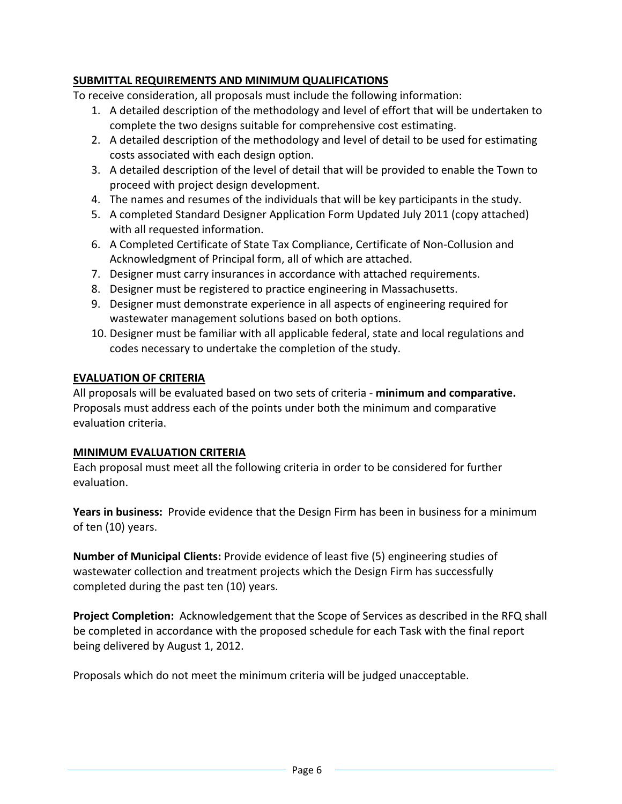## **SUBMITTAL REQUIREMENTS AND MINIMUM QUALIFICATIONS**

To receive consideration, all proposals must include the following information:

- 1. A detailed description of the methodology and level of effort that will be undertaken to complete the two designs suitable for comprehensive cost estimating.
- 2. A detailed description of the methodology and level of detail to be used for estimating costs associated with each design option.
- 3. A detailed description of the level of detail that will be provided to enable the Town to proceed with project design development.
- 4. The names and resumes of the individuals that will be key participants in the study.
- 5. A completed Standard Designer Application Form Updated July 2011 (copy attached) with all requested information.
- 6. A Completed Certificate of State Tax Compliance, Certificate of Non‐Collusion and Acknowledgment of Principal form, all of which are attached.
- 7. Designer must carry insurances in accordance with attached requirements.
- 8. Designer must be registered to practice engineering in Massachusetts.
- 9. Designer must demonstrate experience in all aspects of engineering required for wastewater management solutions based on both options.
- 10. Designer must be familiar with all applicable federal, state and local regulations and codes necessary to undertake the completion of the study.

### **EVALUATION OF CRITERIA**

All proposals will be evaluated based on two sets of criteria ‐ **minimum and comparative.** Proposals must address each of the points under both the minimum and comparative evaluation criteria.

### **MINIMUM EVALUATION CRITERIA**

Each proposal must meet all the following criteria in order to be considered for further evaluation.

**Years in business:** Provide evidence that the Design Firm has been in business for a minimum of ten (10) years.

**Number of Municipal Clients:** Provide evidence of least five (5) engineering studies of wastewater collection and treatment projects which the Design Firm has successfully completed during the past ten (10) years.

**Project Completion:** Acknowledgement that the Scope of Services as described in the RFQ shall be completed in accordance with the proposed schedule for each Task with the final report being delivered by August 1, 2012.

Proposals which do not meet the minimum criteria will be judged unacceptable.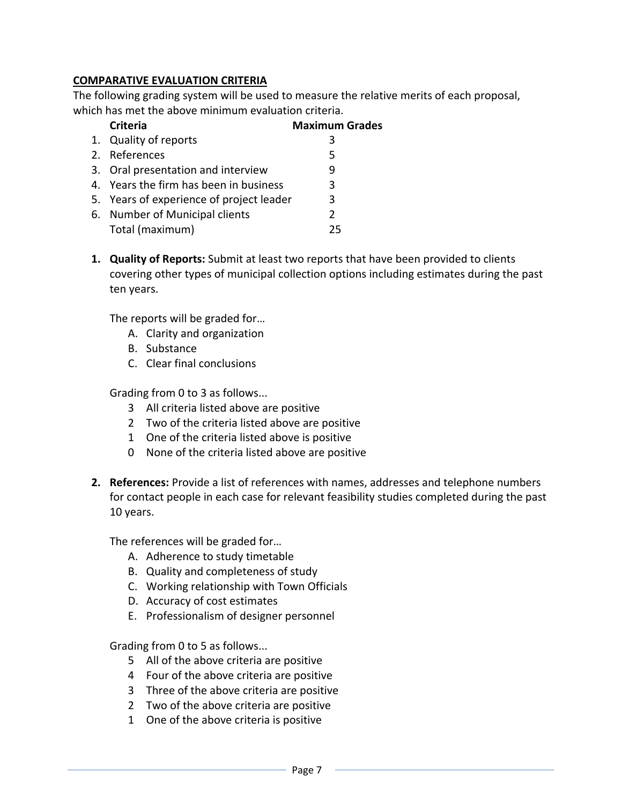## **COMPARATIVE EVALUATION CRITERIA**

The following grading system will be used to measure the relative merits of each proposal, which has met the above minimum evaluation criteria.

| <b>Criteria</b>                          | <b>Maximum Grades</b> |
|------------------------------------------|-----------------------|
| 1. Quality of reports                    | 3                     |
| 2. References                            | 5                     |
| 3. Oral presentation and interview       | q                     |
| 4. Years the firm has been in business   | 3                     |
| 5. Years of experience of project leader | 3                     |
| 6. Number of Municipal clients           | $\mathcal{P}$         |
| Total (maximum)                          | つら                    |

**1. Quality of Reports:** Submit at least two reports that have been provided to clients covering other types of municipal collection options including estimates during the past ten years.

The reports will be graded for…

- A. Clarity and organization
- B. Substance
- C. Clear final conclusions

Grading from 0 to 3 as follows...

- 3 All criteria listed above are positive
- 2 Two of the criteria listed above are positive
- 1 One of the criteria listed above is positive
- 0 None of the criteria listed above are positive
- **2. References:** Provide a list of references with names, addresses and telephone numbers for contact people in each case for relevant feasibility studies completed during the past 10 years.

The references will be graded for…

- A. Adherence to study timetable
- B. Quality and completeness of study
- C. Working relationship with Town Officials
- D. Accuracy of cost estimates
- E. Professionalism of designer personnel

Grading from 0 to 5 as follows...

- 5 All of the above criteria are positive
- 4 Four of the above criteria are positive
- 3 Three of the above criteria are positive
- 2 Two of the above criteria are positive
- 1 One of the above criteria is positive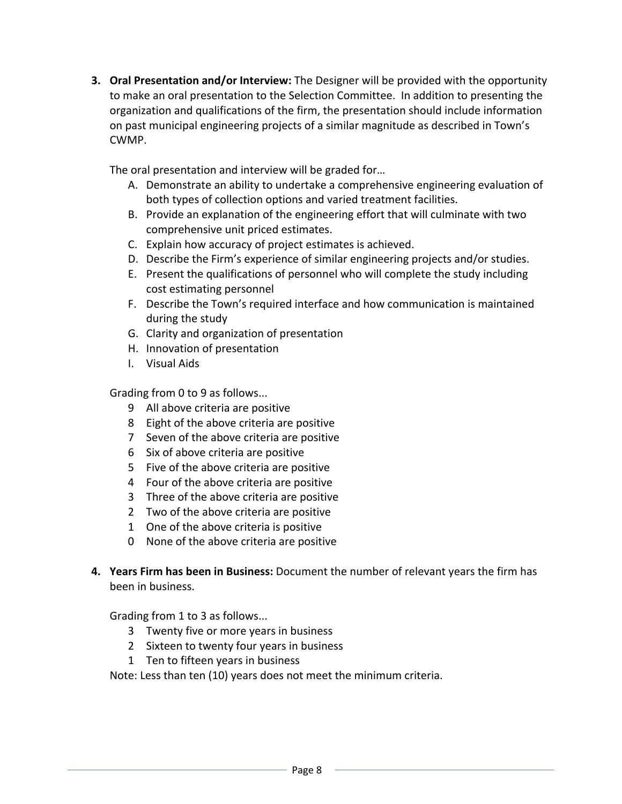**3. Oral Presentation and/or Interview:** The Designer will be provided with the opportunity to make an oral presentation to the Selection Committee. In addition to presenting the organization and qualifications of the firm, the presentation should include information on past municipal engineering projects of a similar magnitude as described in Town's CWMP.

The oral presentation and interview will be graded for…

- A. Demonstrate an ability to undertake a comprehensive engineering evaluation of both types of collection options and varied treatment facilities.
- B. Provide an explanation of the engineering effort that will culminate with two comprehensive unit priced estimates.
- C. Explain how accuracy of project estimates is achieved.
- D. Describe the Firm's experience of similar engineering projects and/or studies.
- E. Present the qualifications of personnel who will complete the study including cost estimating personnel
- F. Describe the Town's required interface and how communication is maintained during the study
- G. Clarity and organization of presentation
- H. Innovation of presentation
- I. Visual Aids

Grading from 0 to 9 as follows...

- 9 All above criteria are positive
- 8 Eight of the above criteria are positive
- 7 Seven of the above criteria are positive
- 6 Six of above criteria are positive
- 5 Five of the above criteria are positive
- 4 Four of the above criteria are positive
- 3 Three of the above criteria are positive
- 2 Two of the above criteria are positive
- 1 One of the above criteria is positive
- 0 None of the above criteria are positive
- **4. Years Firm has been in Business:** Document the number of relevant years the firm has been in business.

Grading from 1 to 3 as follows...

- 3 Twenty five or more years in business
- 2 Sixteen to twenty four years in business
- 1 Ten to fifteen years in business

Note: Less than ten (10) years does not meet the minimum criteria.